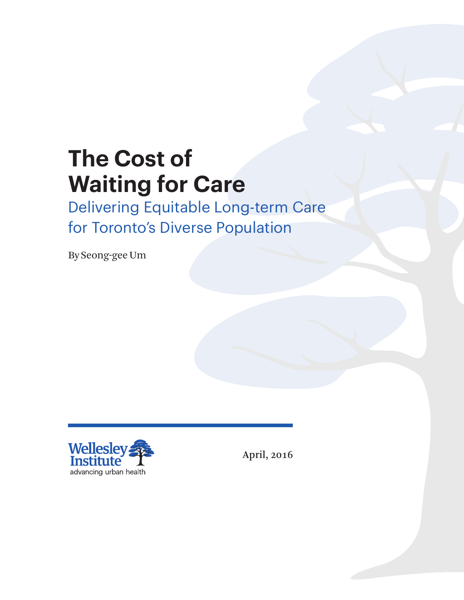# **The Cost of Waiting for Care**

Delivering Equitable Long-term Care for Toronto's Diverse Population

By Seong-gee Um



April, 2016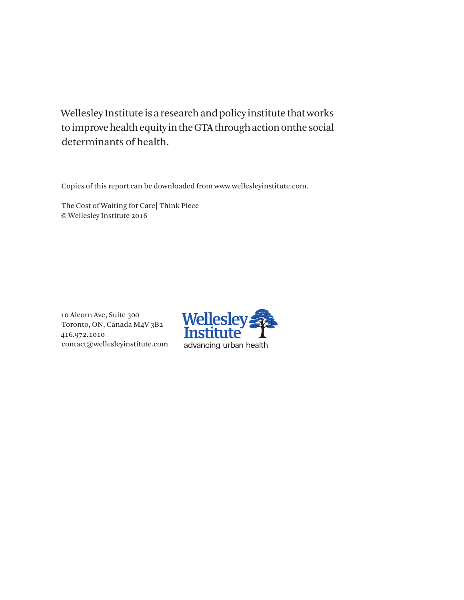Wellesley Institute is a research and policy institute that works to improve health equity in the GTA through action onthe social determinants of health.

Copies of this report can be downloaded from www.wellesleyinstitute.com.

The Cost of Waiting for Care| Think Piece © Wellesley Institute 2016

10 Alcorn Ave, Suite 300 Toronto, ON, Canada M4V 3B2 416.972.1010 contact@wellesleyinstitute.com

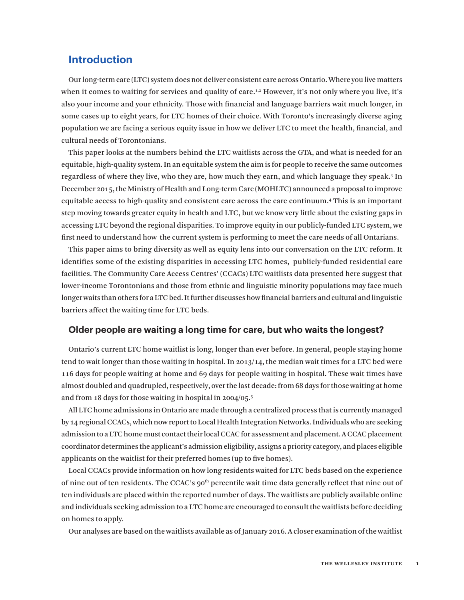## **Introduction**

Our long-term care (LTC) system does not deliver consistent care across Ontario. Where you live matters when it comes to waiting for services and quality of care.<sup>1,2</sup> However, it's not only where you live, it's also your income and your ethnicity. Those with financial and language barriers wait much longer, in some cases up to eight years, for LTC homes of their choice. With Toronto's increasingly diverse aging population we are facing a serious equity issue in how we deliver LTC to meet the health, financial, and cultural needs of Torontonians.

This paper looks at the numbers behind the LTC waitlists across the GTA, and what is needed for an equitable, high-quality system. In an equitable system the aim is for people to receive the same outcomes regardless of where they live, who they are, how much they earn, and which language they speak.<sup>3</sup> In December 2015, the Ministry of Health and Long-term Care (MOHLTC) announced a proposal to improve equitable access to high-quality and consistent care across the care continuum.4 This is an important step moving towards greater equity in health and LTC, but we know very little about the existing gaps in accessing LTC beyond the regional disparities. To improve equity in our publicly-funded LTC system, we first need to understand how the current system is performing to meet the care needs of all Ontarians.

This paper aims to bring diversity as well as equity lens into our conversation on the LTC reform. It identifies some of the existing disparities in accessing LTC homes, publicly-funded residential care facilities. The Community Care Access Centres' (CCACs) LTC waitlists data presented here suggest that lower-income Torontonians and those from ethnic and linguistic minority populations may face much longer waits than others for a LTC bed. It further discusses how financial barriers and cultural and linguistic barriers affect the waiting time for LTC beds.

### **Older people are waiting a long time for care, but who waits the longest?**

Ontario's current LTC home waitlist is long, longer than ever before. In general, people staying home tend to wait longer than those waiting in hospital. In 2013/14, the median wait times for a LTC bed were 116 days for people waiting at home and 69 days for people waiting in hospital. These wait times have almost doubled and quadrupled, respectively, over the last decade: from 68 days for those waiting at home and from 18 days for those waiting in hospital in 2004/05.5

All LTC home admissions in Ontario are made through a centralized process that is currently managed by 14 regional CCACs, which now report to Local Health Integration Networks. Individuals who are seeking admission to a LTC home must contact their local CCAC for assessment and placement. A CCAC placement coordinator determines the applicant's admission eligibility, assigns a priority category, and places eligible applicants on the waitlist for their preferred homes (up to five homes).

Local CCACs provide information on how long residents waited for LTC beds based on the experience of nine out of ten residents. The CCAC's 90<sup>th</sup> percentile wait time data generally reflect that nine out of ten individuals are placed within the reported number of days. The waitlists are publicly available online and individuals seeking admission to a LTC home are encouraged to consult the waitlists before deciding on homes to apply.

Our analyses are based on the waitlists available as of January 2016. A closer examination of the waitlist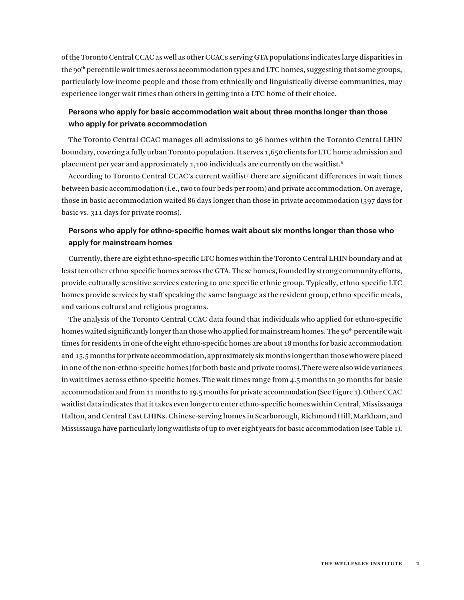of the Toronto Central CCAC as well as other CCACs serving GTA populations indicates large disparities in the 90<sup>th</sup> percentile wait times across accommodation types and LTC homes, suggesting that some groups, particularly low-income people and those from ethnically and linguistically diverse communities, may experience longer wait times than others in getting into a LTC home of their choice.

## **Persons who apply for basic accommodation wait about three months longer than those who apply for private accommodation**

The Toronto Central CCAC manages all admissions to 36 homes within the Toronto Central LHIN boundary, covering a fully urban Toronto population. It serves 1,650 clients for LTC home admission and placement per year and approximately 1,100 individuals are currently on the waitlist.  $6$ 

According to Toronto Central CCAC's current waitlist<sup>7</sup> there are significant differences in wait times between basic accommodation (i.e., two to four beds per room) and private accommodation. On average, those in basic accommodation waited 86 days longer than those in private accommodation (397 days for basic vs. 311 days for private rooms).

## **Persons who apply for ethno-specific homes wait about six months longer than those who apply for mainstream homes**

Currently, there are eight ethno-specific LTC homes within the Toronto Central LHIN boundary and at least ten other ethno-specific homes across the GTA. These homes, founded by strong community efforts, provide culturally-sensitive services catering to one specific ethnic group. Typically, ethno-specific LTC homes provide services by staff speaking the same language as the resident group, ethno-specific meals, and various cultural and religious programs.

The analysis of the Toronto Central CCAC data found that individuals who applied for ethno-specific homes waited significantly longer than those who applied for mainstream homes. The 90<sup>th</sup> percentile wait times for residents in one of the eight ethno-specific homes are about 18 months for basic accommodation and 15.5 months for private accommodation, approximately six months longer than those who were placed in one of the non-ethno-specific homes (for both basic and private rooms). There were also wide variances in wait times across ethno-specific homes. The wait times range from 4.5 months to 30 months for basic accommodation and from 11 months to 19.5 months for private accommodation (See Figure 1). Other CCAC waitlist data indicates that it takes even longer to enter ethno-specific homes within Central, Mississauga Halton, and Central East LHINs. Chinese-serving homes in Scarborough, Richmond Hill, Markham, and Mississauga have particularly long waitlists of up to over eight years for basic accommodation (see Table 1).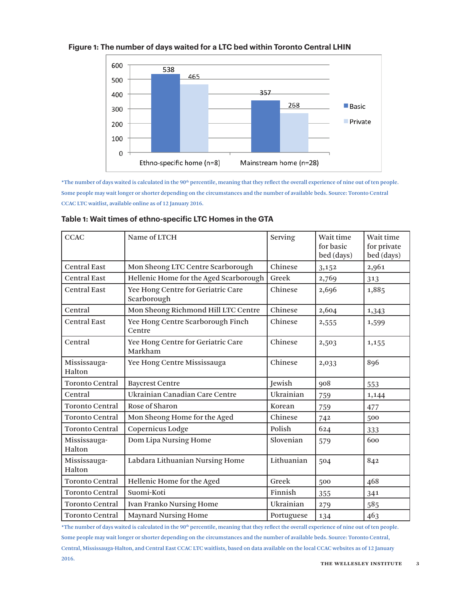

#### **Figure 1: The number of days waited for a LTC bed within Toronto Central LHIN**

\*The number of days waited is calculated in the 90th percentile, meaning that they reflect the overall experience of nine out of ten people. Some people may wait longer or shorter depending on the circumstances and the number of available beds. Source: Toronto Central CCAC LTC waitlist, available online as of 12 January 2016.

| <b>CCAC</b>            | Name of LTCH                                      | Serving    | Wait time<br>for basic<br>bed (days) | Wait time<br>for private<br>bed (days) |
|------------------------|---------------------------------------------------|------------|--------------------------------------|----------------------------------------|
| <b>Central East</b>    | Mon Sheong LTC Centre Scarborough                 | Chinese    | 3,152                                | 2,961                                  |
| <b>Central East</b>    | Hellenic Home for the Aged Scarborough            | Greek      | 2,769                                | 313                                    |
| <b>Central East</b>    | Yee Hong Centre for Geriatric Care<br>Scarborough | Chinese    | 2,696                                | 1,885                                  |
| Central                | Mon Sheong Richmond Hill LTC Centre               | Chinese    | 2,604                                | 1,343                                  |
| <b>Central East</b>    | Yee Hong Centre Scarborough Finch<br>Centre       | Chinese    | 2,555                                | 1,599                                  |
| Central                | Yee Hong Centre for Geriatric Care<br>Markham     | Chinese    | 2,503                                | 1,155                                  |
| Mississauga-<br>Halton | Yee Hong Centre Mississauga                       | Chinese    | 2,033                                | 896                                    |
| <b>Toronto Central</b> | <b>Baycrest Centre</b>                            | Jewish     | 908                                  | 553                                    |
| Central                | Ukrainian Canadian Care Centre                    | Ukrainian  | 759                                  | 1,144                                  |
| <b>Toronto Central</b> | Rose of Sharon                                    | Korean     | 759                                  | 477                                    |
| <b>Toronto Central</b> | Mon Sheong Home for the Aged                      | Chinese    | 742                                  | 500                                    |
| <b>Toronto Central</b> | Copernicus Lodge                                  | Polish     | 624                                  | 333                                    |
| Mississauga-<br>Halton | Dom Lipa Nursing Home                             | Slovenian  | 579                                  | 600                                    |
| Mississauga-<br>Halton | Labdara Lithuanian Nursing Home                   | Lithuanian | 504                                  | 842                                    |
| <b>Toronto Central</b> | Hellenic Home for the Aged                        | Greek      | 500                                  | 468                                    |
| <b>Toronto Central</b> | Suomi-Koti                                        | Finnish    | 355                                  | 341                                    |
| <b>Toronto Central</b> | <b>Ivan Franko Nursing Home</b>                   | Ukrainian  | 279                                  | 585                                    |
| <b>Toronto Central</b> | <b>Maynard Nursing Home</b>                       | Portuguese | 134                                  | 463                                    |

#### **Table 1: Wait times of ethno-specific LTC Homes in the GTA**

\*The number of days waited is calculated in the 90<sup>th</sup> percentile, meaning that they reflect the overall experience of nine out of ten people. Some people may wait longer or shorter depending on the circumstances and the number of available beds. Source: Toronto Central, Central, Mississauga-Halton, and Central East CCAC LTC waitlists, based on data available on the local CCAC websites as of 12 January 2016.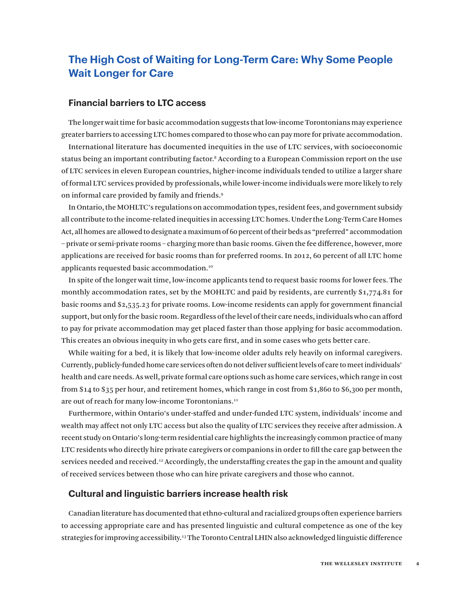# **The High Cost of Waiting for Long-Term Care: Why Some People Wait Longer for Care**

## **Financial barriers to LTC access**

The longer wait time for basic accommodation suggests that low-income Torontonians may experience greater barriers to accessing LTC homes compared to those who can pay more for private accommodation. International literature has documented inequities in the use of LTC services, with socioeconomic status being an important contributing factor.<sup>8</sup> According to a European Commission report on the use of LTC services in eleven European countries, higher-income individuals tended to utilize a larger share of formal LTC services provided by professionals, while lower-income individuals were more likely to rely on informal care provided by family and friends.9

In Ontario, the MOHLTC's regulations on accommodation types, resident fees, and government subsidy all contribute to the income-related inequities in accessing LTC homes. Under the Long-Term Care Homes Act, all homes are allowed to designate a maximum of 60 percent of their beds as "preferred" accommodation – private or semi-private rooms – charging more than basic rooms. Given the fee difference, however, more applications are received for basic rooms than for preferred rooms. In 2012, 60 percent of all LTC home applicants requested basic accommodation.10

In spite of the longer wait time, low-income applicants tend to request basic rooms for lower fees. The monthly accommodation rates, set by the MOHLTC and paid by residents, are currently \$1,774.81 for basic rooms and \$2,535.23 for private rooms. Low-income residents can apply for government financial support, but only for the basic room. Regardless of the level of their care needs, individuals who can afford to pay for private accommodation may get placed faster than those applying for basic accommodation. This creates an obvious inequity in who gets care first, and in some cases who gets better care.

While waiting for a bed, it is likely that low-income older adults rely heavily on informal caregivers. Currently, publicly-funded home care services often do not deliver sufficient levels of care to meet individuals' health and care needs. As well, private formal care options such as home care services, which range in cost from \$14 to \$35 per hour, and retirement homes, which range in cost from \$1,860 to \$6,300 per month, are out of reach for many low-income Torontonians.<sup>11</sup>

Furthermore, within Ontario's under-staffed and under-funded LTC system, individuals' income and wealth may affect not only LTC access but also the quality of LTC services they receive after admission. A recent study on Ontario's long-term residential care highlights the increasingly common practice of many LTC residents who directly hire private caregivers or companions in order to fill the care gap between the services needed and received.<sup>12</sup> Accordingly, the understaffing creates the gap in the amount and quality of received services between those who can hire private caregivers and those who cannot.

#### **Cultural and linguistic barriers increase health risk**

Canadian literature has documented that ethno-cultural and racialized groups often experience barriers to accessing appropriate care and has presented linguistic and cultural competence as one of the key strategies for improving accessibility.13 The Toronto Central LHIN also acknowledged linguistic difference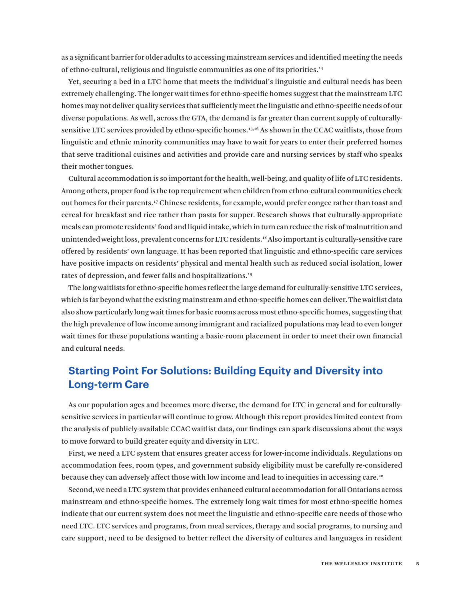as a significant barrier for older adults to accessing mainstream services and identified meeting the needs of ethno-cultural, religious and linguistic communities as one of its priorities.14

Yet, securing a bed in a LTC home that meets the individual's linguistic and cultural needs has been extremely challenging. The longer wait times for ethno-specific homes suggest that the mainstream LTC homes may not deliver quality services that sufficiently meet the linguistic and ethno-specific needs of our diverse populations. As well, across the GTA, the demand is far greater than current supply of culturallysensitive LTC services provided by ethno-specific homes.15,16 As shown in the CCAC waitlists, those from linguistic and ethnic minority communities may have to wait for years to enter their preferred homes that serve traditional cuisines and activities and provide care and nursing services by staff who speaks their mother tongues.

Cultural accommodation is so important for the health, well-being, and quality of life of LTC residents. Among others, proper food is the top requirement when children from ethno-cultural communities check out homes for their parents.17 Chinese residents, for example, would prefer congee rather than toast and cereal for breakfast and rice rather than pasta for supper. Research shows that culturally-appropriate meals can promote residents' food and liquid intake, which in turn can reduce the risk of malnutrition and unintended weight loss, prevalent concerns for LTC residents.18 Also important is culturally-sensitive care offered by residents' own language. It has been reported that linguistic and ethno-specific care services have positive impacts on residents' physical and mental health such as reduced social isolation, lower rates of depression, and fewer falls and hospitalizations.<sup>19</sup>

The long waitlists for ethno-specific homes reflect the large demand for culturally-sensitive LTC services, which is far beyond what the existing mainstream and ethno-specific homes can deliver. The waitlist data also show particularly long wait times for basic rooms across most ethno-specific homes, suggesting that the high prevalence of low income among immigrant and racialized populations may lead to even longer wait times for these populations wanting a basic-room placement in order to meet their own financial and cultural needs.

## **Starting Point For Solutions: Building Equity and Diversity into Long-term Care**

As our population ages and becomes more diverse, the demand for LTC in general and for culturallysensitive services in particular will continue to grow. Although this report provides limited context from the analysis of publicly-available CCAC waitlist data, our findings can spark discussions about the ways to move forward to build greater equity and diversity in LTC.

First, we need a LTC system that ensures greater access for lower-income individuals. Regulations on accommodation fees, room types, and government subsidy eligibility must be carefully re-considered because they can adversely affect those with low income and lead to inequities in accessing care.20

Second, we need a LTC system that provides enhanced cultural accommodation for all Ontarians across mainstream and ethno-specific homes. The extremely long wait times for most ethno-specific homes indicate that our current system does not meet the linguistic and ethno-specific care needs of those who need LTC. LTC services and programs, from meal services, therapy and social programs, to nursing and care support, need to be designed to better reflect the diversity of cultures and languages in resident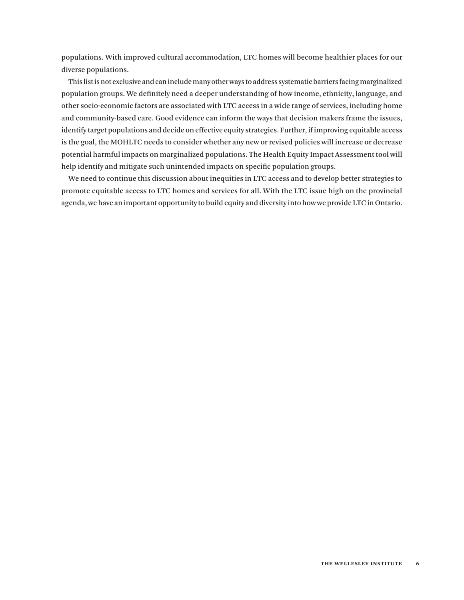populations. With improved cultural accommodation, LTC homes will become healthier places for our diverse populations.

This list is not exclusive and can include many other ways to address systematic barriers facing marginalized population groups. We definitely need a deeper understanding of how income, ethnicity, language, and other socio-economic factors are associated with LTC access in a wide range of services, including home and community-based care. Good evidence can inform the ways that decision makers frame the issues, identify target populations and decide on effective equity strategies. Further, if improving equitable access is the goal, the MOHLTC needs to consider whether any new or revised policies will increase or decrease potential harmful impacts on marginalized populations. The Health Equity Impact Assessment tool will help identify and mitigate such unintended impacts on specific population groups.

We need to continue this discussion about inequities in LTC access and to develop better strategies to promote equitable access to LTC homes and services for all. With the LTC issue high on the provincial agenda, we have an important opportunity to build equity and diversity into how we provide LTC in Ontario.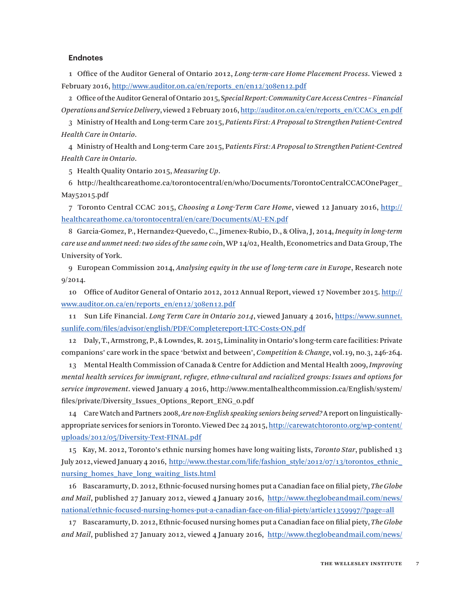#### **Endnotes**

1 Office of the Auditor General of Ontario 2012, *Long-term-care Home Placement Process*. Viewed 2 February 2016, [http://www.auditor.on.ca/en/reports\\_en/en12/308en12.pdf](http://www.auditor.on.ca/en/reports_en/en12/308en12.pdf)

2 Office of the Auditor General of Ontario 2015, S*pecial Report: Community Care Access Centres – Financial Operations and Service Delivery*, viewed 2 February 2016, [http://auditor.on.ca/en/reports\\_en/CCACs\\_en.pdf](http://auditor.on.ca/en/reports_en/CCACs_en.pdf)

3 Ministry of Health and Long-term Care 2015, *Patients First: A Proposal to Strengthen Patient-Centred Health Care in Ontario*.

4 Ministry of Health and Long-term Care 2015, P*atients First: A Proposal to Strengthen Patient-Centred Health Care in Ontario*.

5 Health Quality Ontario 2015, *Measuring Up*.

6 http://healthcareathome.ca/torontocentral/en/who/Documents/TorontoCentralCCACOnePager\_ May52015.pdf

7 Toronto Central CCAC 2015, *Choosing a Long-Term Care Home*, viewed 12 January 2016, [http://](http://healthcareathome.ca/torontocentral/en/care/Documents/AU-EN.pdf) [healthcareathome.ca/torontocentral/en/care/Documents/AU-EN.pdf](http://healthcareathome.ca/torontocentral/en/care/Documents/AU-EN.pdf)

8 Garcia-Gomez, P., Hernandez-Quevedo, C., Jimenex-Rubio, D., & Oliva, J, 2014, *Inequity in long-term care use and unmet need: two sides of the same coi*n, WP 14/02, Health, Econometrics and Data Group, The University of York.

9 European Commission 2014, *Analysing equity in the use of long-term care in Europe*, Research note 9/2014.

10 Office of Auditor General of Ontario 2012, 2012 Annual Report, viewed 17 November 2015. [http://](http://www.auditor.on.ca/en/reports_en/en12/308en12.pdf) [www.auditor.on.ca/en/reports\\_en/en12/308en12.pdf](http://www.auditor.on.ca/en/reports_en/en12/308en12.pdf)

11 Sun Life Financial. *Long Term Care in Ontario 2014*, viewed January 4 2016, [https://www.sunnet.](https://www.sunnet.sunlife.com/files/advisor/english/PDF/Completereport-LTC-Costs-ON.pdf) [sunlife.com/files/advisor/english/PDF/Completereport-LTC-Costs-ON.pdf](https://www.sunnet.sunlife.com/files/advisor/english/PDF/Completereport-LTC-Costs-ON.pdf)

12 Daly, T., Armstrong, P., & Lowndes, R. 2015, Liminality in Ontario's long-term care facilities: Private companions' care work in the space 'betwixt and between', *Competition & Change*, vol.19, no.3, 246-264.

13 Mental Health Commission of Canada & Centre for Addiction and Mental Health 2009, *Improving mental health services for immigrant, refugee, ethno-cultural and racialized groups: Issues and options for service improvement*. viewed January 4 2016, http://www.mentalhealthcommission.ca/English/system/ files/private/Diversity\_Issues\_Options\_Report\_ENG\_0.pdf

14 Care Watch and Partners 2008, *Are non-English speaking seniors being served?* A report on linguisticallyappropriate services for seniors in Toronto. Viewed Dec 24 2015, [http://carewatchtoronto.org/wp-content/](http://carewatchtoronto.org/wp-content/uploads/2012/05/Diversity-Text-FINAL.pdf) [uploads/2012/05/Diversity-Text-FINAL.pdf](http://carewatchtoronto.org/wp-content/uploads/2012/05/Diversity-Text-FINAL.pdf)

15 Kay, M. 2012, Toronto's ethnic nursing homes have long waiting lists, *Toronto Star*, published 13 July 2012, viewed January 4 2016, [http://www.thestar.com/life/fashion\\_style/2012/07/13/torontos\\_ethnic\\_](http://www.thestar.com/life/fashion_style/2012/07/13/torontos_ethnic_nursing_homes_have_long_waiting_lists.html) nursing homes have long waiting lists.html

16 Bascaramurty, D. 2012, Ethnic-focused nursing homes put a Canadian face on filial piety, *The Globe and Mail*, published 27 January 2012, viewed 4 January 2016, [http://www.theglobeandmail.com/news/](http://www.theglobeandmail.com/news/national/ethnic-focused-nursing-homes-put-a-canadian-face-on-filial-piety/article1359997/?page=all) [national/ethnic-focused-nursing-homes-put-a-canadian-face-on-filial-piety/article1359997/?page=all](http://www.theglobeandmail.com/news/national/ethnic-focused-nursing-homes-put-a-canadian-face-on-filial-piety/article1359997/?page=all)

17 Bascaramurty, D. 2012, Ethnic-focused nursing homes put a Canadian face on filial piety, *The Globe and Mail*, published 27 January 2012, viewed 4 January 2016, [http://www.theglobeandmail.com/news/](http://www.theglobeandmail.com/news/national/ethnic-focused-nursing-homes-put-a-canadian-face-on-filial-piety/article1359997/?page=all)